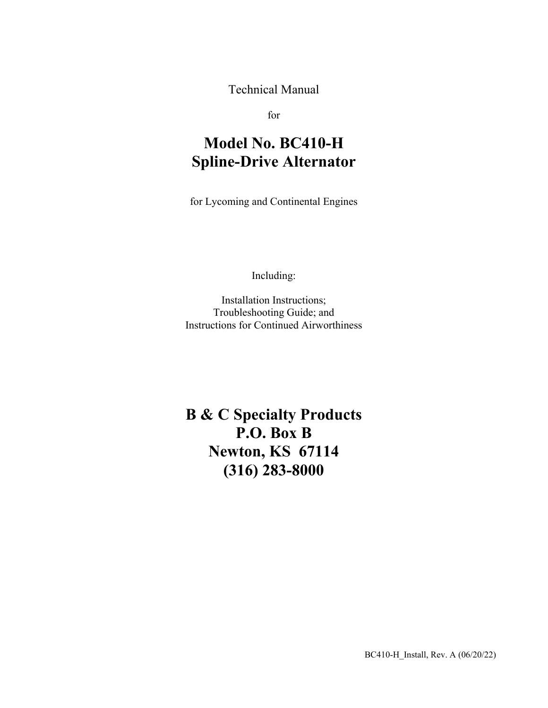Technical Manual

for

# **Model No. BC410-H Spline-Drive Alternator**

for Lycoming and Continental Engines

Including:

Installation Instructions; Troubleshooting Guide; and Instructions for Continued Airworthiness

**B & C Specialty Products P.O. Box B Newton, KS 67114 (316) 283-8000**

BC410-H\_Install, Rev. A (06/20/22)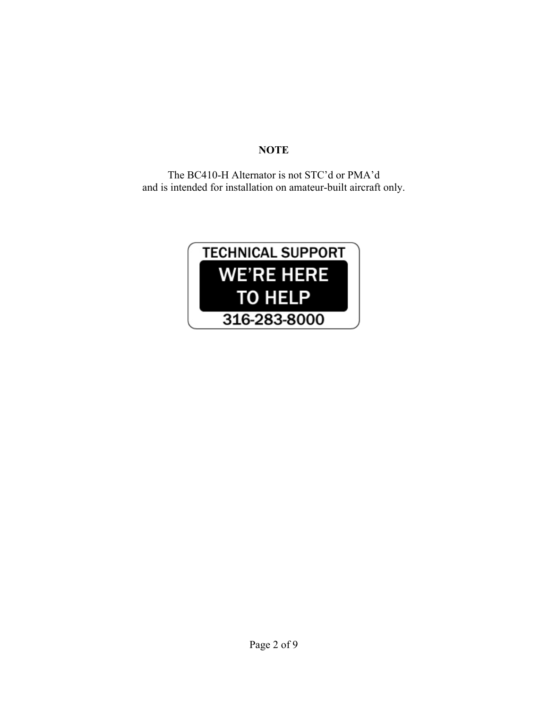## **NOTE**

The BC410-H Alternator is not STC'd or PMA'd and is intended for installation on amateur-built aircraft only.

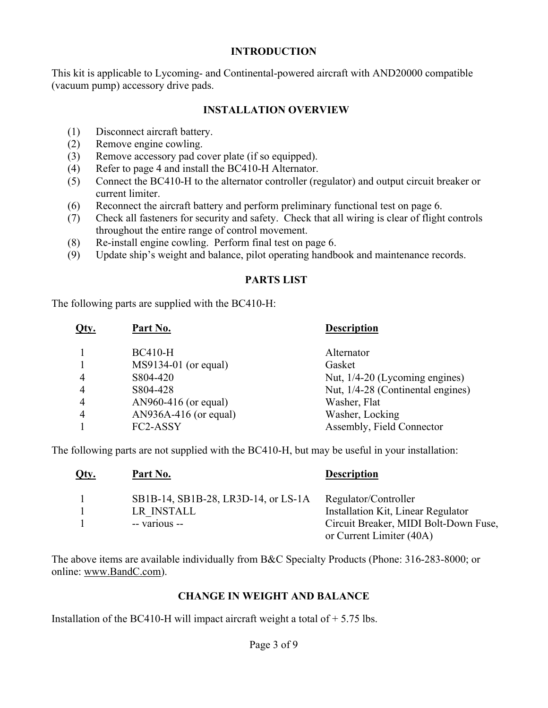#### **INTRODUCTION**

This kit is applicable to Lycoming- and Continental-powered aircraft with AND20000 compatible (vacuum pump) accessory drive pads.

#### **INSTALLATION OVERVIEW**

- (1) Disconnect aircraft battery.
- (2) Remove engine cowling.
- (3) Remove accessory pad cover plate (if so equipped).
- (4) Refer to page 4 and install the BC410-H Alternator.
- (5) Connect the BC410-H to the alternator controller (regulator) and output circuit breaker or current limiter.
- (6) Reconnect the aircraft battery and perform preliminary functional test on page 6.
- (7) Check all fasteners for security and safety. Check that all wiring is clear of flight controls throughout the entire range of control movement.
- (8) Re-install engine cowling. Perform final test on page 6.
- (9) Update ship's weight and balance, pilot operating handbook and maintenance records.

## **PARTS LIST**

The following parts are supplied with the BC410-H:

| <b>BC410-H</b><br>Alternator<br>$MS9134-01$ (or equal)<br>Gasket<br>S804-420<br>Nut, 1/4-20 (Lycoming engines)<br>4<br>S804-428<br>4<br>AN960-416 (or equal)<br>Washer, Flat<br>$\overline{4}$<br>$AN936A-416$ (or equal)<br>Washer, Locking<br>4<br>Assembly, Field Connector<br>FC2-ASSY | Qty. | Part No. | <b>Description</b>                |
|--------------------------------------------------------------------------------------------------------------------------------------------------------------------------------------------------------------------------------------------------------------------------------------------|------|----------|-----------------------------------|
|                                                                                                                                                                                                                                                                                            |      |          |                                   |
|                                                                                                                                                                                                                                                                                            |      |          |                                   |
|                                                                                                                                                                                                                                                                                            |      |          |                                   |
|                                                                                                                                                                                                                                                                                            |      |          | Nut, 1/4-28 (Continental engines) |
|                                                                                                                                                                                                                                                                                            |      |          |                                   |
|                                                                                                                                                                                                                                                                                            |      |          |                                   |
|                                                                                                                                                                                                                                                                                            |      |          |                                   |

The following parts are not supplied with the BC410-H, but may be useful in your installation:

| Qty. | <u>Part No.</u>                     | <b>Description</b>                    |
|------|-------------------------------------|---------------------------------------|
|      | SB1B-14, SB1B-28, LR3D-14, or LS-1A | Regulator/Controller                  |
|      | LR INSTALL                          | Installation Kit, Linear Regulator    |
|      | -- various --                       | Circuit Breaker, MIDI Bolt-Down Fuse, |
|      |                                     | or Current Limiter (40A)              |

The above items are available individually from B&C Specialty Products (Phone: 316-283-8000; or online: www.BandC.com).

#### **CHANGE IN WEIGHT AND BALANCE**

Installation of the BC410-H will impact aircraft weight a total of  $+$  5.75 lbs.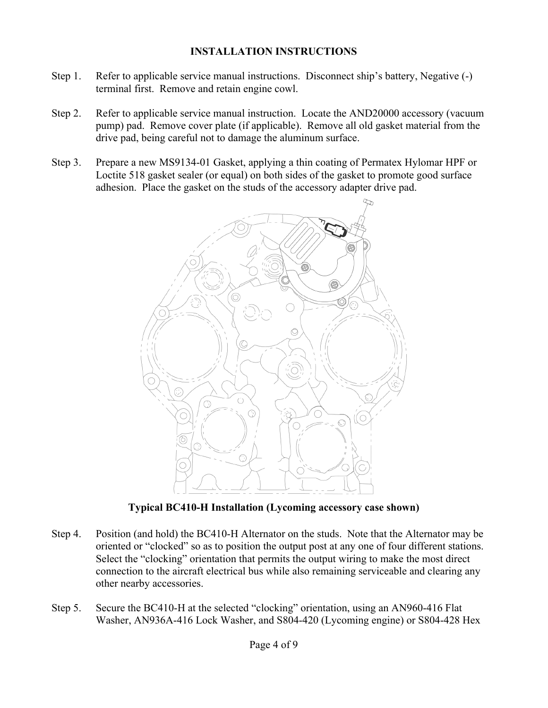### **INSTALLATION INSTRUCTIONS**

- Step 1. Refer to applicable service manual instructions. Disconnect ship's battery, Negative (-) terminal first. Remove and retain engine cowl.
- Step 2. Refer to applicable service manual instruction. Locate the AND20000 accessory (vacuum pump) pad. Remove cover plate (if applicable). Remove all old gasket material from the drive pad, being careful not to damage the aluminum surface.
- Step 3. Prepare a new MS9134-01 Gasket, applying a thin coating of Permatex Hylomar HPF or Loctite 518 gasket sealer (or equal) on both sides of the gasket to promote good surface adhesion. Place the gasket on the studs of the accessory adapter drive pad.



**Typical BC410-H Installation (Lycoming accessory case shown)** 

- Step 4. Position (and hold) the BC410-H Alternator on the studs. Note that the Alternator may be oriented or "clocked" so as to position the output post at any one of four different stations. Select the "clocking" orientation that permits the output wiring to make the most direct connection to the aircraft electrical bus while also remaining serviceable and clearing any other nearby accessories.
- Step 5. Secure the BC410-H at the selected "clocking" orientation, using an AN960-416 Flat Washer, AN936A-416 Lock Washer, and S804-420 (Lycoming engine) or S804-428 Hex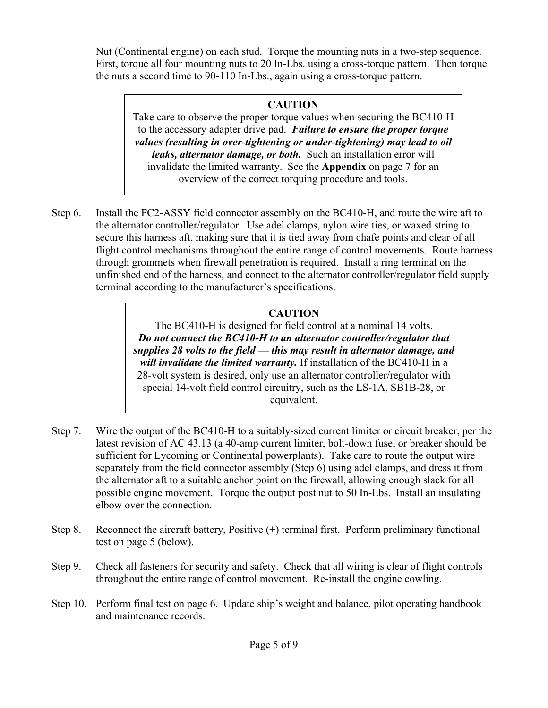Nut (Continental engine) on each stud. Torque the mounting nuts in a two-step sequence. First, torque all four mounting nuts to 20 In-Lbs. using a cross-torque pattern. Then torque the nuts a second time to 90-110 In-Lbs., again using a cross-torque pattern.

## **CAUTION**

Take care to observe the proper torque values when securing the BC410-H to the accessory adapter drive pad. *Failure to ensure the proper torque values (resulting in over-tightening or under-tightening) may lead to oil leaks, alternator damage, or both.* Such an installation error will invalidate the limited warranty. See the **Appendix** on page 7 for an overview of the correct torquing procedure and tools.

Step 6. Install the FC2-ASSY field connector assembly on the BC410-H, and route the wire aft to the alternator controller/regulator. Use adel clamps, nylon wire ties, or waxed string to secure this harness aft, making sure that it is tied away from chafe points and clear of all flight control mechanisms throughout the entire range of control movements. Route harness through grommets when firewall penetration is required. Install a ring terminal on the unfinished end of the harness, and connect to the alternator controller/regulator field supply terminal according to the manufacturer's specifications.

## **CAUTION**

The BC410-H is designed for field control at a nominal 14 volts. *Do not connect the BC410-H to an alternator controller/regulator that supplies 28 volts to the field — this may result in alternator damage, and will invalidate the limited warranty.* If installation of the BC410-H in a 28-volt system is desired, only use an alternator controller/regulator with special 14-volt field control circuitry, such as the LS-1A, SB1B-28, or equivalent.

- Step 7. Wire the output of the BC410-H to a suitably-sized current limiter or circuit breaker, per the latest revision of AC 43.13 (a 40-amp current limiter, bolt-down fuse, or breaker should be sufficient for Lycoming or Continental powerplants). Take care to route the output wire separately from the field connector assembly (Step 6) using adel clamps, and dress it from the alternator aft to a suitable anchor point on the firewall, allowing enough slack for all possible engine movement. Torque the output post nut to 50 In-Lbs. Install an insulating elbow over the connection.
- Step 8. Reconnect the aircraft battery, Positive (+) terminal first. Perform preliminary functional test on page 5 (below).
- Step 9. Check all fasteners for security and safety. Check that all wiring is clear of flight controls throughout the entire range of control movement. Re-install the engine cowling.
- Step 10. Perform final test on page 6. Update ship's weight and balance, pilot operating handbook and maintenance records.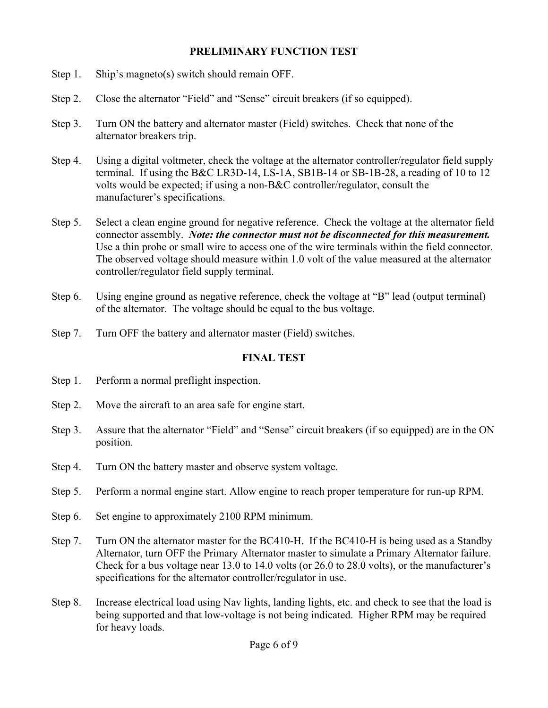#### **PRELIMINARY FUNCTION TEST**

- Step 1. Ship's magneto(s) switch should remain OFF.
- Step 2. Close the alternator "Field" and "Sense" circuit breakers (if so equipped).
- Step 3. Turn ON the battery and alternator master (Field) switches. Check that none of the alternator breakers trip.
- Step 4. Using a digital voltmeter, check the voltage at the alternator controller/regulator field supply terminal. If using the B&C LR3D-14, LS-1A, SB1B-14 or SB-1B-28, a reading of 10 to 12 volts would be expected; if using a non-B&C controller/regulator, consult the manufacturer's specifications.
- Step 5. Select a clean engine ground for negative reference. Check the voltage at the alternator field connector assembly. *Note: the connector must not be disconnected for this measurement.* Use a thin probe or small wire to access one of the wire terminals within the field connector. The observed voltage should measure within 1.0 volt of the value measured at the alternator controller/regulator field supply terminal.
- Step 6. Using engine ground as negative reference, check the voltage at "B" lead (output terminal) of the alternator. The voltage should be equal to the bus voltage.
- Step 7. Turn OFF the battery and alternator master (Field) switches.

#### **FINAL TEST**

- Step 1. Perform a normal preflight inspection.
- Step 2. Move the aircraft to an area safe for engine start.
- Step 3. Assure that the alternator "Field" and "Sense" circuit breakers (if so equipped) are in the ON position.
- Step 4. Turn ON the battery master and observe system voltage.
- Step 5. Perform a normal engine start. Allow engine to reach proper temperature for run-up RPM.
- Step 6. Set engine to approximately 2100 RPM minimum.
- Step 7. Turn ON the alternator master for the BC410-H. If the BC410-H is being used as a Standby Alternator, turn OFF the Primary Alternator master to simulate a Primary Alternator failure. Check for a bus voltage near 13.0 to 14.0 volts (or 26.0 to 28.0 volts), or the manufacturer's specifications for the alternator controller/regulator in use.
- Step 8. Increase electrical load using Nav lights, landing lights, etc. and check to see that the load is being supported and that low-voltage is not being indicated. Higher RPM may be required for heavy loads.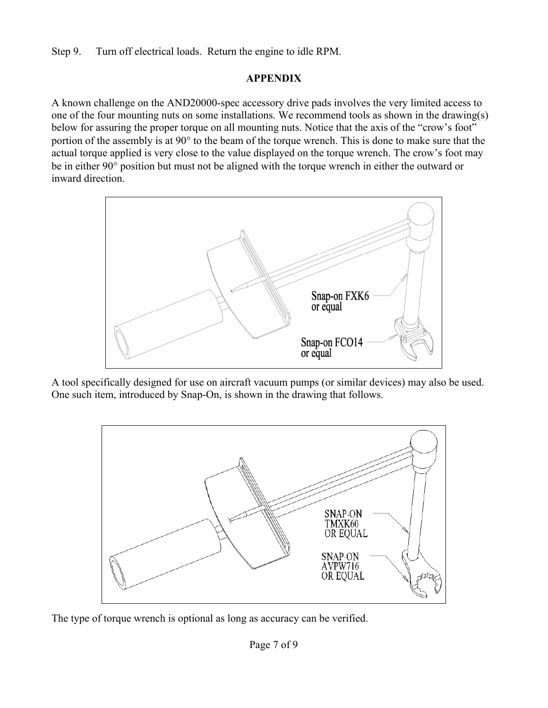Step 9. Turn off electrical loads. Return the engine to idle RPM.

## **APPENDIX**

A known challenge on the AND20000-spec accessory drive pads involves the very limited access to one of the four mounting nuts on some installations. We recommend tools as shown in the drawing(s) below for assuring the proper torque on all mounting nuts. Notice that the axis of the "crow's foot" portion of the assembly is at 90° to the beam of the torque wrench. This is done to make sure that the actual torque applied is very close to the value displayed on the torque wrench. The crow's foot may be in either 90° position but must not be aligned with the torque wrench in either the outward or inward direction.



A tool specifically designed for use on aircraft vacuum pumps (or similar devices) may also be used. One such item, introduced by Snap-On, is shown in the drawing that follows.



The type of torque wrench is optional as long as accuracy can be verified.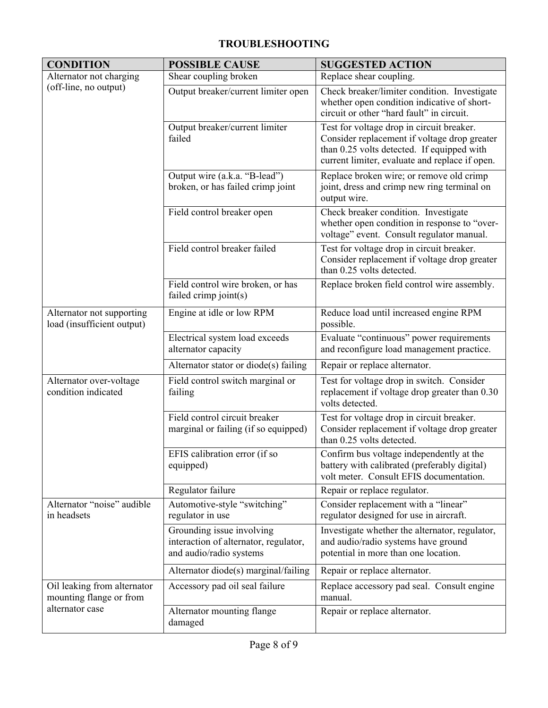## **TROUBLESHOOTING**

| <b>CONDITION</b>                                        | <b>POSSIBLE CAUSE</b>                                                                         | <b>SUGGESTED ACTION</b>                                                                                                                                                                   |
|---------------------------------------------------------|-----------------------------------------------------------------------------------------------|-------------------------------------------------------------------------------------------------------------------------------------------------------------------------------------------|
| Alternator not charging                                 | Shear coupling broken                                                                         | Replace shear coupling.                                                                                                                                                                   |
| (off-line, no output)                                   | Output breaker/current limiter open                                                           | Check breaker/limiter condition. Investigate<br>whether open condition indicative of short-<br>circuit or other "hard fault" in circuit.                                                  |
|                                                         | Output breaker/current limiter<br>failed                                                      | Test for voltage drop in circuit breaker.<br>Consider replacement if voltage drop greater<br>than 0.25 volts detected. If equipped with<br>current limiter, evaluate and replace if open. |
|                                                         | Output wire (a.k.a. "B-lead")<br>broken, or has failed crimp joint                            | Replace broken wire; or remove old crimp<br>joint, dress and crimp new ring terminal on<br>output wire.                                                                                   |
|                                                         | Field control breaker open                                                                    | Check breaker condition. Investigate<br>whether open condition in response to "over-<br>voltage" event. Consult regulator manual.                                                         |
|                                                         | Field control breaker failed                                                                  | Test for voltage drop in circuit breaker.<br>Consider replacement if voltage drop greater<br>than 0.25 volts detected.                                                                    |
|                                                         | Field control wire broken, or has<br>failed crimp joint(s)                                    | Replace broken field control wire assembly.                                                                                                                                               |
| Alternator not supporting<br>load (insufficient output) | Engine at idle or low RPM                                                                     | Reduce load until increased engine RPM<br>possible.                                                                                                                                       |
|                                                         | Electrical system load exceeds<br>alternator capacity                                         | Evaluate "continuous" power requirements<br>and reconfigure load management practice.                                                                                                     |
|                                                         | Alternator stator or diode(s) failing                                                         | Repair or replace alternator.                                                                                                                                                             |
| Alternator over-voltage<br>condition indicated          | Field control switch marginal or<br>failing                                                   | Test for voltage drop in switch. Consider<br>replacement if voltage drop greater than 0.30<br>volts detected.                                                                             |
|                                                         | Field control circuit breaker<br>marginal or failing (if so equipped)                         | Test for voltage drop in circuit breaker.<br>Consider replacement if voltage drop greater<br>than 0.25 volts detected.                                                                    |
|                                                         | EFIS calibration error (if so<br>equipped)                                                    | Confirm bus voltage independently at the<br>battery with calibrated (preferably digital)<br>volt meter. Consult EFIS documentation.                                                       |
|                                                         | Regulator failure                                                                             | Repair or replace regulator.                                                                                                                                                              |
| Alternator "noise" audible<br>in headsets               | Automotive-style "switching"<br>regulator in use                                              | Consider replacement with a "linear"<br>regulator designed for use in aircraft.                                                                                                           |
|                                                         | Grounding issue involving<br>interaction of alternator, regulator,<br>and audio/radio systems | Investigate whether the alternator, regulator,<br>and audio/radio systems have ground<br>potential in more than one location.                                                             |
|                                                         | Alternator diode(s) marginal/failing                                                          | Repair or replace alternator.                                                                                                                                                             |
| Oil leaking from alternator<br>mounting flange or from  | Accessory pad oil seal failure                                                                | Replace accessory pad seal. Consult engine<br>manual.                                                                                                                                     |
| alternator case                                         | Alternator mounting flange<br>damaged                                                         | Repair or replace alternator.                                                                                                                                                             |